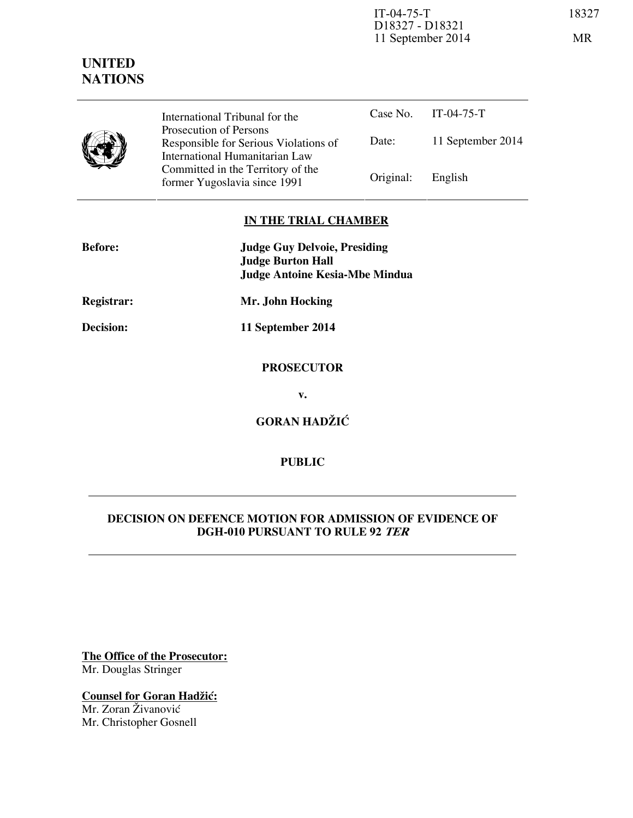IT-04-75-T 18327 D18327 - D18321 11 September 2014 MR

# **UNITED NATIONS**



Case No. IT-04-75-T Date: 11 September 2014 International Tribunal for the Prosecution of Persons Responsible for Serious Violations of International Humanitarian Law Committed in the Territory of the Former Yugoslavia since 1991 Original: English

## **IN THE TRIAL CHAMBER**

| <b>Before:</b>   | <b>Judge Guy Delvoie, Presiding</b><br><b>Judge Burton Hall</b><br><b>Judge Antoine Kesia-Mbe Mindua</b> |
|------------------|----------------------------------------------------------------------------------------------------------|
| Registrar:       | Mr. John Hocking                                                                                         |
| <b>Decision:</b> | 11 September 2014                                                                                        |
|                  | <b>PROSECUTOR</b>                                                                                        |
|                  | v.                                                                                                       |
|                  | <b>GORAN HADŽIĆ</b>                                                                                      |
|                  |                                                                                                          |

# **DECISION ON DEFENCE MOTION FOR ADMISSION OF EVIDENCE OF DGH-010 PURSUANT TO RULE 92 TER**

**PUBLIC** 

**The Office of the Prosecutor:** Mr. Douglas Stringer

**Counsel for Goran Hadžić:** Mr. Zoran Živanović Mr. Christopher Gosnell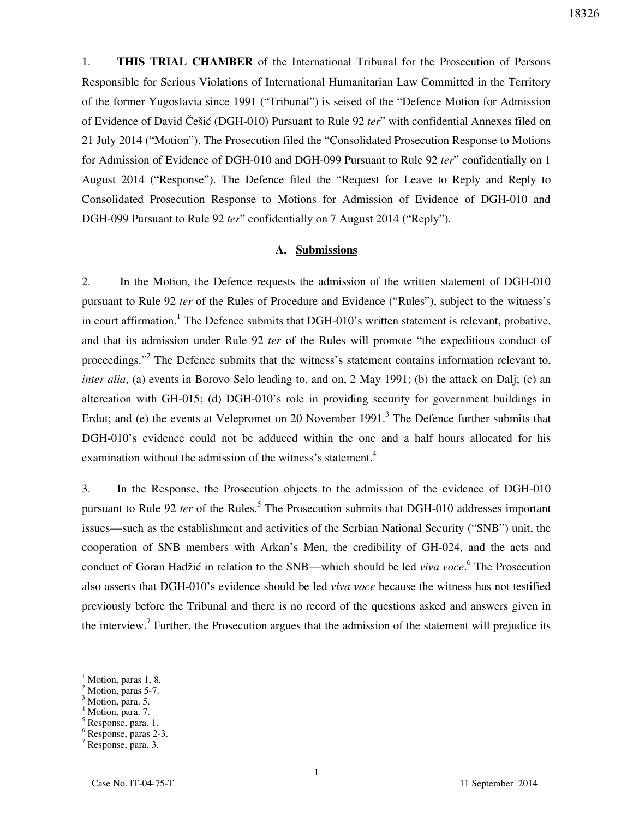1. **THIS TRIAL CHAMBER** of the International Tribunal for the Prosecution of Persons Responsible for Serious Violations of International Humanitarian Law Committed in the Territory of the former Yugoslavia since 1991 ("Tribunal") is seised of the "Defence Motion for Admission of Evidence of David Češi} (DGH-010) Pursuant to Rule 92 *ter*" with confidential Annexes filed on 21 July 2014 ("Motion"). The Prosecution filed the "Consolidated Prosecution Response to Motions for Admission of Evidence of DGH-010 and DGH-099 Pursuant to Rule 92 *ter*" confidentially on 1 August 2014 ("Response"). The Defence filed the "Request for Leave to Reply and Reply to Consolidated Prosecution Response to Motions for Admission of Evidence of DGH-010 and DGH-099 Pursuant to Rule 92 *ter*" confidentially on 7 August 2014 ("Reply").

## **A. Submissions**

2. In the Motion, the Defence requests the admission of the written statement of DGH-010 pursuant to Rule 92 *ter* of the Rules of Procedure and Evidence ("Rules"), subject to the witness's in court affirmation.<sup>1</sup> The Defence submits that DGH-010's written statement is relevant, probative, and that its admission under Rule 92 *ter* of the Rules will promote "the expeditious conduct of proceedings."<sup>2</sup> The Defence submits that the witness's statement contains information relevant to, *inter alia*, (a) events in Borovo Selo leading to, and on, 2 May 1991; (b) the attack on Dalj; (c) an altercation with GH-015; (d) DGH-010's role in providing security for government buildings in Erdut; and (e) the events at Velepromet on 20 November 1991.<sup>3</sup> The Defence further submits that DGH-010's evidence could not be adduced within the one and a half hours allocated for his examination without the admission of the witness's statement.<sup>4</sup>

3. In the Response, the Prosecution objects to the admission of the evidence of DGH-010 pursuant to Rule 92 *ter* of the Rules.<sup>5</sup> The Prosecution submits that DGH-010 addresses important issues—such as the establishment and activities of the Serbian National Security ("SNB") unit, the cooperation of SNB members with Arkan's Men, the credibility of GH-024, and the acts and conduct of Goran Hadžić in relation to the SNB—which should be led *viva voce*.<sup>6</sup> The Prosecution also asserts that DGH-010's evidence should be led *viva voce* because the witness has not testified previously before the Tribunal and there is no record of the questions asked and answers given in the interview.<sup>7</sup> Further, the Prosecution argues that the admission of the statement will prejudice its

<sup>1</sup> Motion, paras 1, 8. 2

Motion, paras 5-7. 3

Motion, para. 5.

 $^{4}$  Motion, para. 7.

Response, para. 1.

<sup>6</sup> Response, paras 2-3.

<sup>7</sup> Response, para. 3.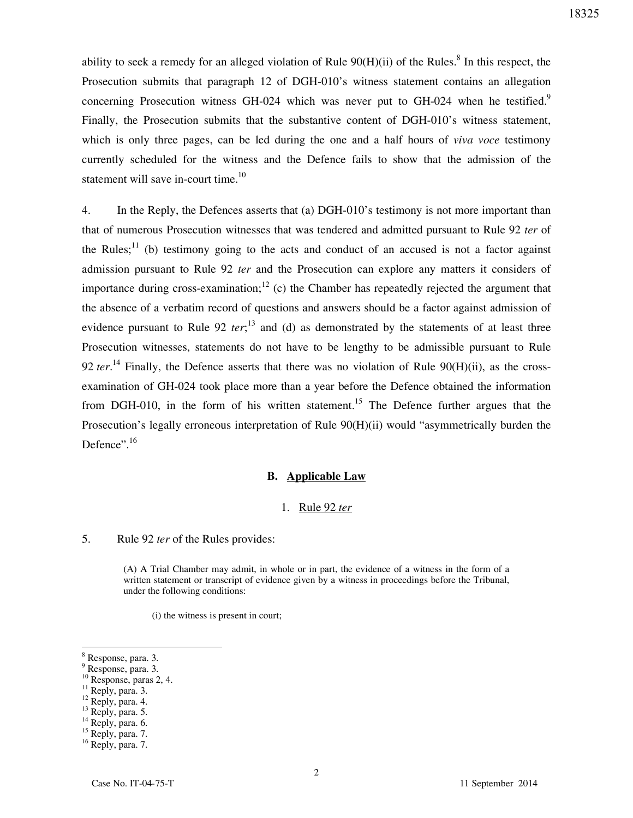ability to seek a remedy for an alleged violation of Rule  $90(H)(ii)$  of the Rules.<sup>8</sup> In this respect, the Prosecution submits that paragraph 12 of DGH-010's witness statement contains an allegation concerning Prosecution witness GH-024 which was never put to GH-024 when he testified.<sup>9</sup> Finally, the Prosecution submits that the substantive content of DGH-010's witness statement, which is only three pages, can be led during the one and a half hours of *viva voce* testimony currently scheduled for the witness and the Defence fails to show that the admission of the statement will save in-court time.<sup>10</sup>

4. In the Reply, the Defences asserts that (a) DGH-010's testimony is not more important than that of numerous Prosecution witnesses that was tendered and admitted pursuant to Rule 92 *ter* of the Rules;<sup>11</sup> (b) testimony going to the acts and conduct of an accused is not a factor against admission pursuant to Rule 92 *ter* and the Prosecution can explore any matters it considers of importance during cross-examination;  $\frac{12}{2}$  (c) the Chamber has repeatedly rejected the argument that the absence of a verbatim record of questions and answers should be a factor against admission of evidence pursuant to Rule 92 *ter*;<sup>13</sup> and (d) as demonstrated by the statements of at least three Prosecution witnesses, statements do not have to be lengthy to be admissible pursuant to Rule 92 *ter*. <sup>14</sup> Finally, the Defence asserts that there was no violation of Rule 90(H)(ii), as the crossexamination of GH-024 took place more than a year before the Defence obtained the information from DGH-010, in the form of his written statement.<sup>15</sup> The Defence further argues that the Prosecution's legally erroneous interpretation of Rule 90(H)(ii) would "asymmetrically burden the Defence".<sup>16</sup>

#### **B. Applicable Law**

#### 1. Rule 92 *ter*

#### 5. Rule 92 *ter* of the Rules provides:

(A) A Trial Chamber may admit, in whole or in part, the evidence of a witness in the form of a written statement or transcript of evidence given by a witness in proceedings before the Tribunal, under the following conditions:

(i) the witness is present in court;

<sup>8</sup> Response, para. 3.

<sup>9</sup> Response, para. 3.

 $10$  Response, paras 2, 4.

 $11$  Reply, para. 3.

 $12$  Reply, para. 4.

 $^{13}$  Reply, para. 5.

 $14$  Reply, para. 6.

<sup>&</sup>lt;sup>15</sup> Reply, para. 7.

<sup>&</sup>lt;sup>16</sup> Reply, para. 7.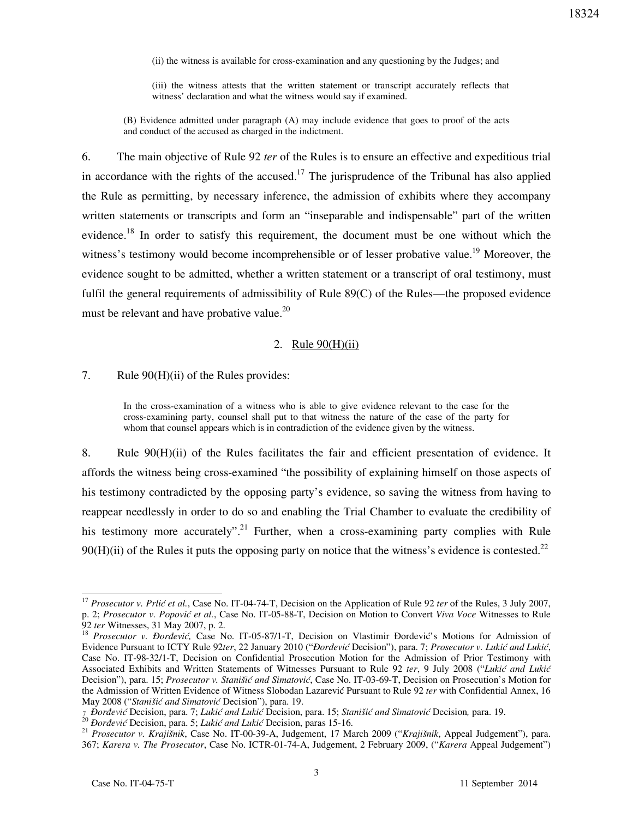(ii) the witness is available for cross-examination and any questioning by the Judges; and

(iii) the witness attests that the written statement or transcript accurately reflects that witness' declaration and what the witness would say if examined.

(B) Evidence admitted under paragraph (A) may include evidence that goes to proof of the acts and conduct of the accused as charged in the indictment.

6. The main objective of Rule 92 *ter* of the Rules is to ensure an effective and expeditious trial in accordance with the rights of the accused.<sup>17</sup> The jurisprudence of the Tribunal has also applied the Rule as permitting, by necessary inference, the admission of exhibits where they accompany written statements or transcripts and form an "inseparable and indispensable" part of the written evidence.<sup>18</sup> In order to satisfy this requirement, the document must be one without which the witness's testimony would become incomprehensible or of lesser probative value.<sup>19</sup> Moreover, the evidence sought to be admitted, whether a written statement or a transcript of oral testimony, must fulfil the general requirements of admissibility of Rule 89(C) of the Rules—the proposed evidence must be relevant and have probative value.<sup>20</sup>

#### 2. Rule 90(H)(ii)

7. Rule 90(H)(ii) of the Rules provides:

In the cross-examination of a witness who is able to give evidence relevant to the case for the cross-examining party, counsel shall put to that witness the nature of the case of the party for whom that counsel appears which is in contradiction of the evidence given by the witness.

8. Rule 90(H)(ii) of the Rules facilitates the fair and efficient presentation of evidence. It affords the witness being cross-examined "the possibility of explaining himself on those aspects of his testimony contradicted by the opposing party's evidence, so saving the witness from having to reappear needlessly in order to do so and enabling the Trial Chamber to evaluate the credibility of his testimony more accurately".<sup>21</sup> Further, when a cross-examining party complies with Rule  $90(H)(ii)$  of the Rules it puts the opposing party on notice that the witness's evidence is contested.<sup>22</sup>

<sup>&</sup>lt;sup>17</sup> Prosecutor v. Prlić et al., Case No. IT-04-74-T, Decision on the Application of Rule 92 *ter* of the Rules, 3 July 2007, p. 2; *Prosecutor v. Popovi} et al.*, Case No. IT-05-88-T, Decision on Motion to Convert *Viva Voce* Witnesses to Rule 92 *ter* Witnesses, 31 May 2007, p. 2.

<sup>&</sup>lt;sup>18</sup> Prosecutor v. Đorđević, Case No. IT-05-87/1-T, Decision on Vlastimir Đorđević's Motions for Admission of Evidence Pursuant to ICTY Rule 92ter, 22 January 2010 ("*Đorđević* Decision"), para. 7; Prosecutor v. Lukić and Lukić, Case No. IT-98-32/1-T, Decision on Confidential Prosecution Motion for the Admission of Prior Testimony with Associated Exhibits and Written Statements of Witnesses Pursuant to Rule 92 ter, 9 July 2008 ("Lukić and Lukić Decision"), para. 15; Prosecutor v. Stanišić and Simatović, Case No. IT-03-69-T, Decision on Prosecution's Motion for the Admission of Written Evidence of Witness Slobodan Lazarevic Pursuant to Rule 92 *ter* with Confidential Annex, 16 May 2008 ("Stanišić and Simatović Decision"), para. 19.

<sup>-</sup> *ðorđevi}* Decision, para. 7; *Luki} and Luki}* Decision, para. 15; *Stani{i} and Simatovi}* Decision*,* para. 19.

<sup>&</sup>lt;sup>20</sup> *Đorđević* Decision, para. 5; *Lukić and Lukić* Decision, paras 15-16.

<sup>21</sup> *Prosecutor v. Krajišnik*, Case No. IT-00-39-A, Judgement, 17 March 2009 ("*Krajišnik*, Appeal Judgement"), para. 367; *Karera v. The Prosecutor*, Case No. ICTR-01-74-A, Judgement, 2 February 2009, ("*Karera* Appeal Judgement")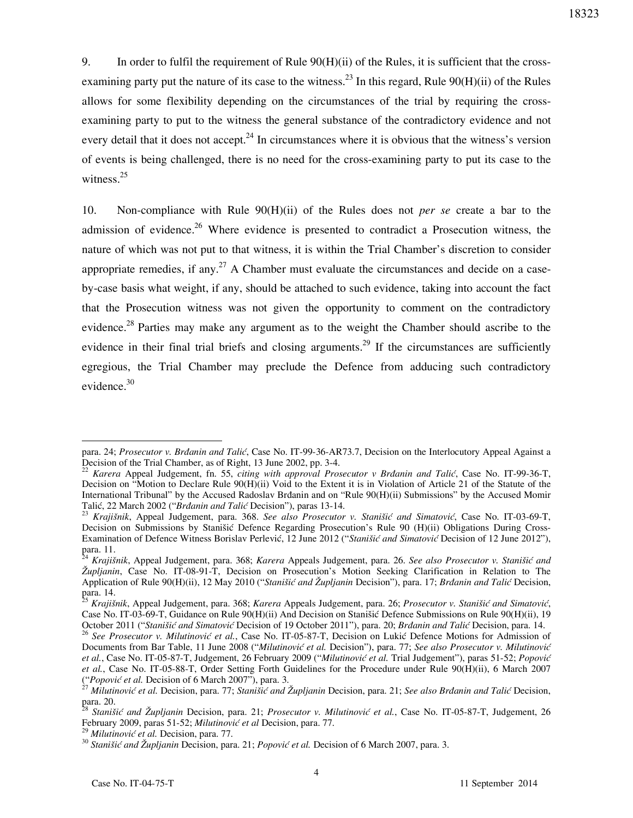9. In order to fulfil the requirement of Rule 90(H)(ii) of the Rules, it is sufficient that the crossexamining party put the nature of its case to the witness.<sup>23</sup> In this regard, Rule 90(H)(ii) of the Rules allows for some flexibility depending on the circumstances of the trial by requiring the crossexamining party to put to the witness the general substance of the contradictory evidence and not every detail that it does not accept.<sup>24</sup> In circumstances where it is obvious that the witness's version of events is being challenged, there is no need for the cross-examining party to put its case to the witness. $25$ 

10. Non-compliance with Rule 90(H)(ii) of the Rules does not *per se* create a bar to the admission of evidence.<sup>26</sup> Where evidence is presented to contradict a Prosecution witness, the nature of which was not put to that witness, it is within the Trial Chamber's discretion to consider appropriate remedies, if any.<sup>27</sup> A Chamber must evaluate the circumstances and decide on a caseby-case basis what weight, if any, should be attached to such evidence, taking into account the fact that the Prosecution witness was not given the opportunity to comment on the contradictory evidence.<sup>28</sup> Parties may make any argument as to the weight the Chamber should ascribe to the evidence in their final trial briefs and closing arguments.<sup>29</sup> If the circumstances are sufficiently egregious, the Trial Chamber may preclude the Defence from adducing such contradictory evidence.<sup>30</sup>

para. 24; *Prosecutor v. Brðanin and Tali}*, Case No. IT-99-36-AR73.7, Decision on the Interlocutory Appeal Against a Decision of the Trial Chamber, as of Right, 13 June 2002, pp. 3-4.

<sup>&</sup>lt;sup>22</sup> *Karera* Appeal Judgement, fn. 55, *citing with approval Prosecutor v Brdanin and Talić*, Case No. IT-99-36-T, Decision on "Motion to Declare Rule 90(H)(ii) Void to the Extent it is in Violation of Article 21 of the Statute of the International Tribunal" by the Accused Radoslav Brðanin and on "Rule 90(H)(ii) Submissions" by the Accused Momir Talić, 22 March 2002 ("*Brđanin and Talić* Decision"), paras 13-14.

<sup>&</sup>lt;sup>23</sup> Krajišnik, Appeal Judgement, para. 368. See also Prosecutor v. Stanišić and Simatović, Case No. IT-03-69-T, Decision on Submissions by Stanišić Defence Regarding Prosecution's Rule 90 (H)(ii) Obligations During Cross-Examination of Defence Witness Borislav Perlević, 12 June 2012 ("*Stanišić and Simatović* Decision of 12 June 2012"), para. 11.

<sup>24</sup> *Krajišnik*, Appeal Judgement, para. 368; *Karera* Appeals Judgement, para. 26. *See also Prosecutor v. Stani{i} and Župljanin*, Case No. IT-08-91-T, Decision on Prosecution's Motion Seeking Clarification in Relation to The Application of Rule 90(H)(ii), 12 May 2010 ("*Stanišić and Župljanin* Decision"), para. 17; *Brđanin and Talić* Decision, para. 14.

<sup>&</sup>lt;sup>25</sup> *Krajišnik*, Appeal Judgement, para. 368; *Karera* Appeals Judgement, para. 26; *Prosecutor v. Stanišić and Simatović*, Case No. IT-03-69-T, Guidance on Rule 90(H)(ii) And Decision on Stanišić Defence Submissions on Rule 90(H)(ii), 19 October 2011 ("Stanišić and Simatović Decision of 19 October 2011"), para. 20; *Brdanin and Talić* Decision, para. 14.

<sup>&</sup>lt;sup>26</sup> See Prosecutor v. Milutinović et al., Case No. IT-05-87-T, Decision on Lukić Defence Motions for Admission of Documents from Bar Table, 11 June 2008 ("Milutinović et al. Decision"), para. 77; See also Prosecutor v. Milutinović *et al.*, Case No. IT-05-87-T, Judgement, 26 February 2009 ("Milutinović et al. Trial Judgement"), paras 51-52; *Popović et al.*, Case No. IT-05-88-T, Order Setting Forth Guidelines for the Procedure under Rule 90(H)(ii), 6 March 2007 ("Popović et al. Decision of 6 March 2007"), para. 3.

<sup>&</sup>lt;sup>27</sup> Milutinović et al. Decision, para. 77; *Stanišić and Župljanin* Decision, para. 21; *See also Brđanin and Talić* Decision, para. 20.

Stanišić and Župljanin Decision, para. 21; Prosecutor v. Milutinović et al., Case No. IT-05-87-T, Judgement, 26 February 2009, paras 51-52; *Milutinović et al* Decision, para. 77.

<sup>&</sup>lt;sup>29</sup> Milutinović et al. Decision, para. 77.

<sup>&</sup>lt;sup>30</sup> Stanišić and Župljanin Decision, para. 21; *Popović et al.* Decision of 6 March 2007, para. 3.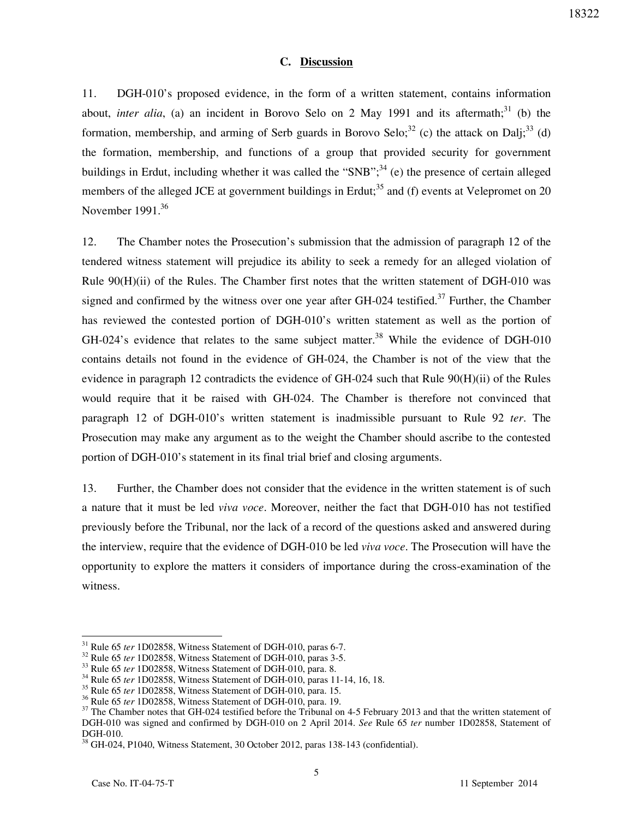## **C. Discussion**

11. DGH-010's proposed evidence, in the form of a written statement, contains information about, *inter alia*, (a) an incident in Borovo Selo on 2 May 1991 and its aftermath;<sup>31</sup> (b) the formation, membership, and arming of Serb guards in Borovo Selo;<sup>32</sup> (c) the attack on Dali;<sup>33</sup> (d) the formation, membership, and functions of a group that provided security for government buildings in Erdut, including whether it was called the "SNB";<sup>34</sup> (e) the presence of certain alleged members of the alleged JCE at government buildings in Erdut;<sup>35</sup> and (f) events at Velepromet on 20 November  $1991.<sup>36</sup>$ 

12. The Chamber notes the Prosecution's submission that the admission of paragraph 12 of the tendered witness statement will prejudice its ability to seek a remedy for an alleged violation of Rule  $90(H)(ii)$  of the Rules. The Chamber first notes that the written statement of DGH-010 was signed and confirmed by the witness over one year after GH-024 testified.<sup>37</sup> Further, the Chamber has reviewed the contested portion of DGH-010's written statement as well as the portion of GH-024's evidence that relates to the same subject matter.<sup>38</sup> While the evidence of DGH-010 contains details not found in the evidence of GH-024, the Chamber is not of the view that the evidence in paragraph 12 contradicts the evidence of GH-024 such that Rule 90(H)(ii) of the Rules would require that it be raised with GH-024. The Chamber is therefore not convinced that paragraph 12 of DGH-010's written statement is inadmissible pursuant to Rule 92 *ter*. The Prosecution may make any argument as to the weight the Chamber should ascribe to the contested portion of DGH-010's statement in its final trial brief and closing arguments.

13. Further, the Chamber does not consider that the evidence in the written statement is of such a nature that it must be led *viva voce*. Moreover, neither the fact that DGH-010 has not testified previously before the Tribunal, nor the lack of a record of the questions asked and answered during the interview, require that the evidence of DGH-010 be led *viva voce*. The Prosecution will have the opportunity to explore the matters it considers of importance during the cross-examination of the witness.

<sup>31</sup> Rule 65 *ter* 1D02858, Witness Statement of DGH-010, paras 6-7.

<sup>&</sup>lt;sup>32</sup> Rule 65 *ter* 1D02858, Witness Statement of DGH-010, paras 3-5.

<sup>&</sup>lt;sup>33</sup> Rule 65 *ter* 1D02858, Witness Statement of DGH-010, para. 8.

<sup>&</sup>lt;sup>34</sup> Rule 65 *ter* 1D02858, Witness Statement of DGH-010, paras 11-14, 16, 18.

<sup>35</sup> Rule 65 *ter* 1D02858, Witness Statement of DGH-010, para. 15.

<sup>36</sup> Rule 65 *ter* 1D02858, Witness Statement of DGH-010, para. 19.

<sup>&</sup>lt;sup>37</sup> The Chamber notes that GH-024 testified before the Tribunal on 4-5 February 2013 and that the written statement of DGH-010 was signed and confirmed by DGH-010 on 2 April 2014. *See* Rule 65 *ter* number 1D02858, Statement of DGH-010.

<sup>38</sup> GH-024, P1040, Witness Statement, 30 October 2012, paras 138-143 (confidential).